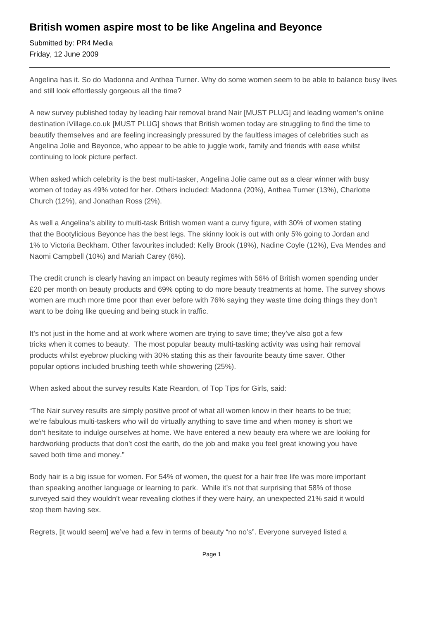## **British women aspire most to be like Angelina and Beyonce**

Submitted by: PR4 Media Friday, 12 June 2009

Angelina has it. So do Madonna and Anthea Turner. Why do some women seem to be able to balance busy lives and still look effortlessly gorgeous all the time?

A new survey published today by leading hair removal brand Nair [MUST PLUG] and leading women's online destination iVillage.co.uk [MUST PLUG] shows that British women today are struggling to find the time to beautify themselves and are feeling increasingly pressured by the faultless images of celebrities such as Angelina Jolie and Beyonce, who appear to be able to juggle work, family and friends with ease whilst continuing to look picture perfect.

When asked which celebrity is the best multi-tasker, Angelina Jolie came out as a clear winner with busy women of today as 49% voted for her. Others included: Madonna (20%), Anthea Turner (13%), Charlotte Church (12%), and Jonathan Ross (2%).

As well a Angelina's ability to multi-task British women want a curvy figure, with 30% of women stating that the Bootylicious Beyonce has the best legs. The skinny look is out with only 5% going to Jordan and 1% to Victoria Beckham. Other favourites included: Kelly Brook (19%), Nadine Coyle (12%), Eva Mendes and Naomi Campbell (10%) and Mariah Carey (6%).

The credit crunch is clearly having an impact on beauty regimes with 56% of British women spending under £20 per month on beauty products and 69% opting to do more beauty treatments at home. The survey shows women are much more time poor than ever before with 76% saying they waste time doing things they don't want to be doing like queuing and being stuck in traffic.

It's not just in the home and at work where women are trying to save time; they've also got a few tricks when it comes to beauty. The most popular beauty multi-tasking activity was using hair removal products whilst eyebrow plucking with 30% stating this as their favourite beauty time saver. Other popular options included brushing teeth while showering (25%).

When asked about the survey results Kate Reardon, of Top Tips for Girls, said:

"The Nair survey results are simply positive proof of what all women know in their hearts to be true; we're fabulous multi-taskers who will do virtually anything to save time and when money is short we don't hesitate to indulge ourselves at home. We have entered a new beauty era where we are looking for hardworking products that don't cost the earth, do the job and make you feel great knowing you have saved both time and money."

Body hair is a big issue for women. For 54% of women, the quest for a hair free life was more important than speaking another language or learning to park. While it's not that surprising that 58% of those surveyed said they wouldn't wear revealing clothes if they were hairy, an unexpected 21% said it would stop them having sex.

Regrets, [it would seem] we've had a few in terms of beauty "no no's". Everyone surveyed listed a